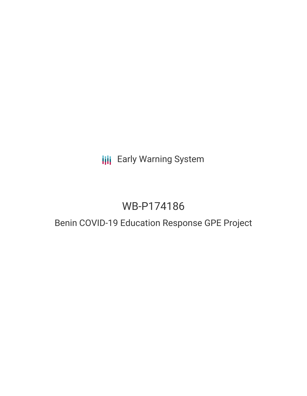# **III** Early Warning System

# WB-P174186

### Benin COVID-19 Education Response GPE Project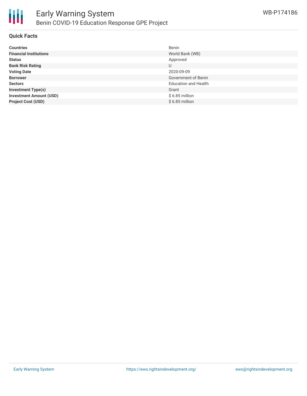

#### **Quick Facts**

| <b>Countries</b>               | Benin                       |
|--------------------------------|-----------------------------|
| <b>Financial Institutions</b>  | World Bank (WB)             |
| <b>Status</b>                  | Approved                    |
| <b>Bank Risk Rating</b>        | U                           |
| <b>Voting Date</b>             | 2020-09-09                  |
| <b>Borrower</b>                | Government of Benin         |
| <b>Sectors</b>                 | <b>Education and Health</b> |
| <b>Investment Type(s)</b>      | Grant                       |
| <b>Investment Amount (USD)</b> | $$6.85$ million             |
| <b>Project Cost (USD)</b>      | $$6.85$ million             |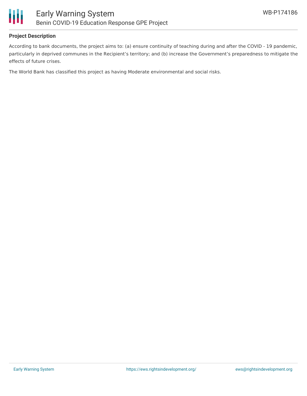

#### **Project Description**

According to bank documents, the project aims to: (a) ensure continuity of teaching during and after the COVID - 19 pandemic, particularly in deprived communes in the Recipient's territory; and (b) increase the Government's preparedness to mitigate the effects of future crises.

The World Bank has classified this project as having Moderate environmental and social risks.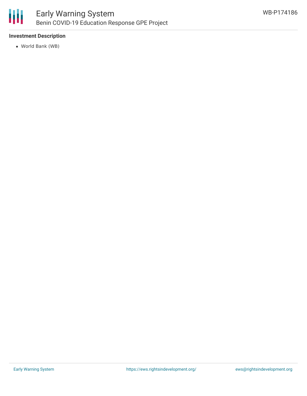

#### **Investment Description**

World Bank (WB)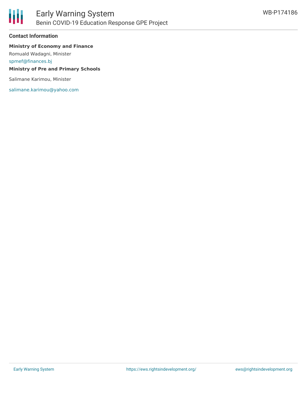



#### **Contact Information**

**Ministry of Economy and Finance**

Romuald Wadagni, Minister

[spmef@finances.bj](mailto:spmef@finances.bj)

### **Ministry of Pre and Primary Schools**

Salimane Karimou, Minister

[salimane.karimou@yahoo.com](mailto:salimane.karimou@yahoo.com)